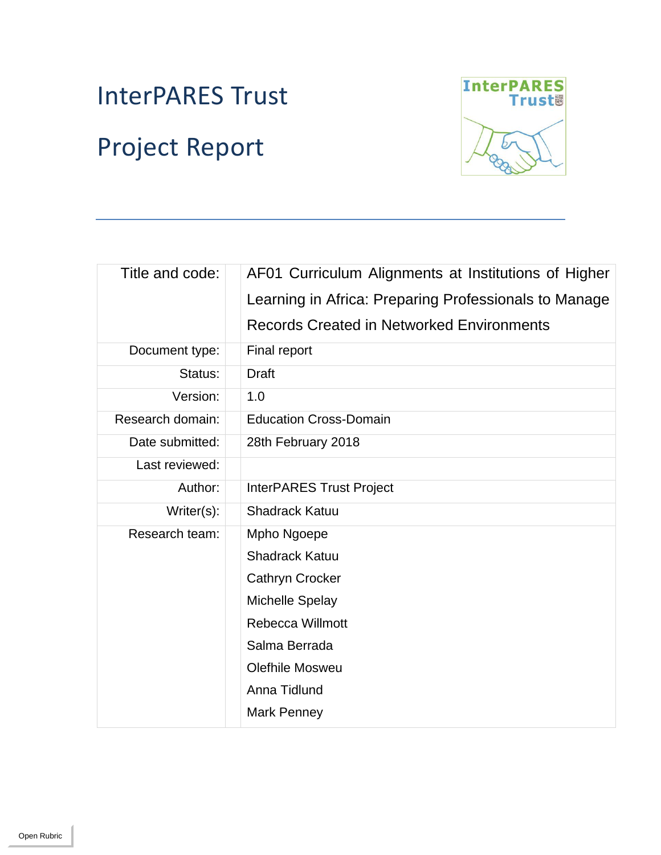# InterPARES Trust Project Report



| Title and code:  | AF01 Curriculum Alignments at Institutions of Higher  |
|------------------|-------------------------------------------------------|
|                  | Learning in Africa: Preparing Professionals to Manage |
|                  | <b>Records Created in Networked Environments</b>      |
| Document type:   | Final report                                          |
| Status:          | <b>Draft</b>                                          |
| Version:         | 1.0                                                   |
| Research domain: | <b>Education Cross-Domain</b>                         |
| Date submitted:  | 28th February 2018                                    |
| Last reviewed:   |                                                       |
| Author:          | <b>InterPARES Trust Project</b>                       |
| Writer(s):       | <b>Shadrack Katuu</b>                                 |
| Research team:   | Mpho Ngoepe                                           |
|                  | <b>Shadrack Katuu</b>                                 |
|                  | <b>Cathryn Crocker</b>                                |
|                  | <b>Michelle Spelay</b>                                |
|                  | <b>Rebecca Willmott</b>                               |
|                  | Salma Berrada                                         |
|                  | <b>Olefhile Mosweu</b>                                |
|                  | Anna Tidlund                                          |
|                  | Mark Penney                                           |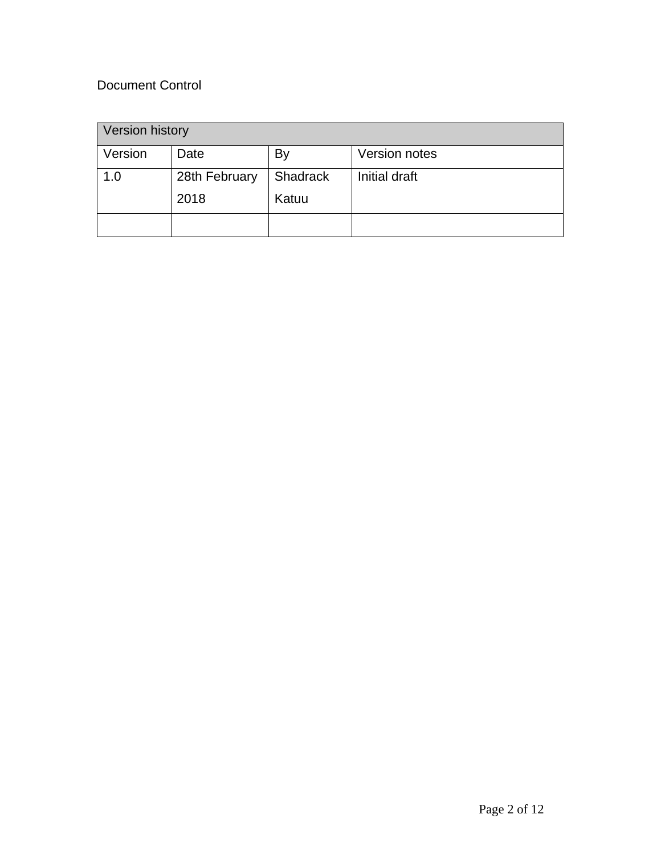# Document Control

| Version history |               |          |               |  |  |
|-----------------|---------------|----------|---------------|--|--|
| Version         | Date          | By       | Version notes |  |  |
| 1.0             | 28th February | Shadrack | Initial draft |  |  |
|                 | 2018          | Katuu    |               |  |  |
|                 |               |          |               |  |  |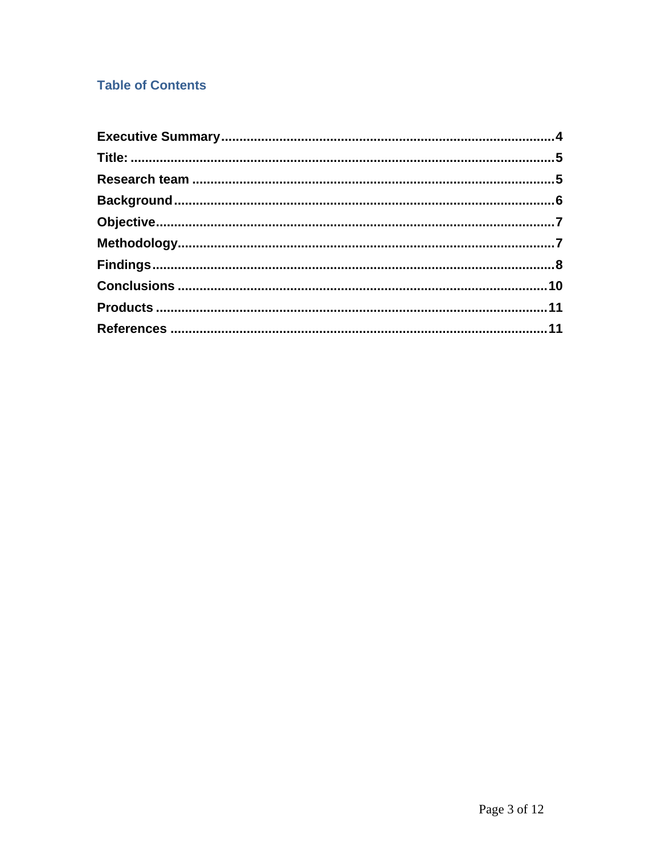# **Table of Contents**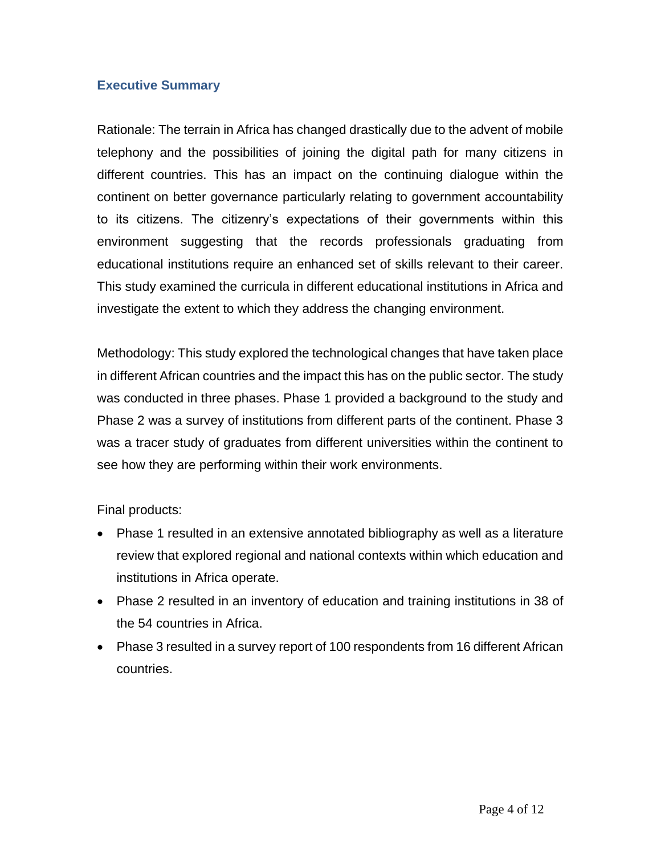## **Executive Summary**

Rationale: The terrain in Africa has changed drastically due to the advent of mobile telephony and the possibilities of joining the digital path for many citizens in different countries. This has an impact on the continuing dialogue within the continent on better governance particularly relating to government accountability to its citizens. The citizenry's expectations of their governments within this environment suggesting that the records professionals graduating from educational institutions require an enhanced set of skills relevant to their career. This study examined the curricula in different educational institutions in Africa and investigate the extent to which they address the changing environment.

Methodology: This study explored the technological changes that have taken place in different African countries and the impact this has on the public sector. The study was conducted in three phases. Phase 1 provided a background to the study and Phase 2 was a survey of institutions from different parts of the continent. Phase 3 was a tracer study of graduates from different universities within the continent to see how they are performing within their work environments.

Final products:

- Phase 1 resulted in an extensive annotated bibliography as well as a literature review that explored regional and national contexts within which education and institutions in Africa operate.
- Phase 2 resulted in an inventory of education and training institutions in 38 of the 54 countries in Africa.
- Phase 3 resulted in a survey report of 100 respondents from 16 different African countries.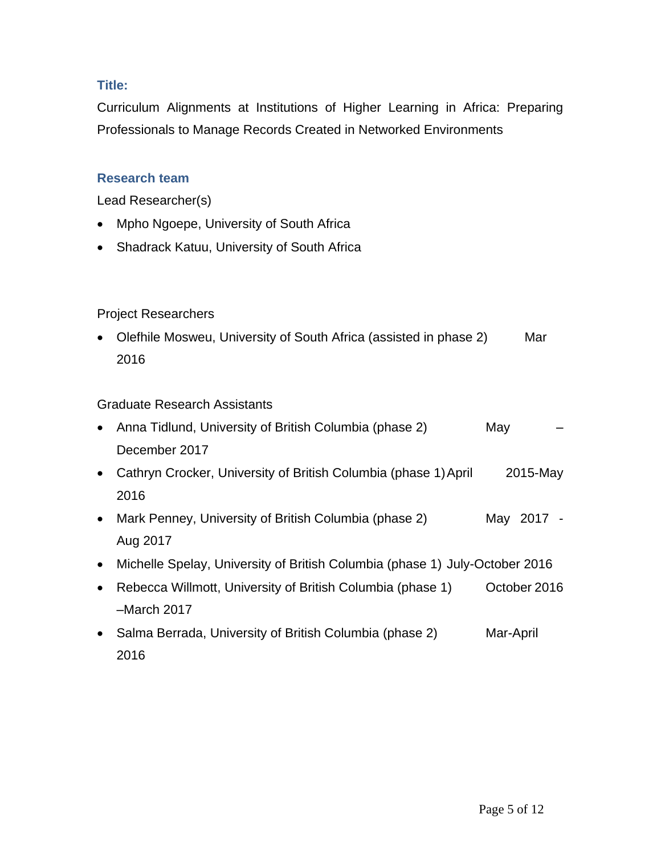# **Title:**

Curriculum Alignments at Institutions of Higher Learning in Africa: Preparing Professionals to Manage Records Created in Networked Environments

## **Research team**

Lead Researcher(s)

- Mpho Ngoepe, University of South Africa
- Shadrack Katuu, University of South Africa

## Project Researchers

• Olefhile Mosweu, University of South Africa (assisted in phase 2) Mar 2016

### Graduate Research Assistants

| $\bullet$ | Anna Tidlund, University of British Columbia (phase 2)                      | May          |  |
|-----------|-----------------------------------------------------------------------------|--------------|--|
|           | December 2017                                                               |              |  |
| $\bullet$ | Cathryn Crocker, University of British Columbia (phase 1) April             | 2015-May     |  |
|           | 2016                                                                        |              |  |
| $\bullet$ | Mark Penney, University of British Columbia (phase 2)                       | May 2017 -   |  |
|           | Aug 2017                                                                    |              |  |
| $\bullet$ | Michelle Spelay, University of British Columbia (phase 1) July-October 2016 |              |  |
| $\bullet$ | Rebecca Willmott, University of British Columbia (phase 1)                  | October 2016 |  |
|           | $-March$ 2017                                                               |              |  |
| $\bullet$ | Salma Berrada, University of British Columbia (phase 2)                     | Mar-April    |  |
|           | 2016                                                                        |              |  |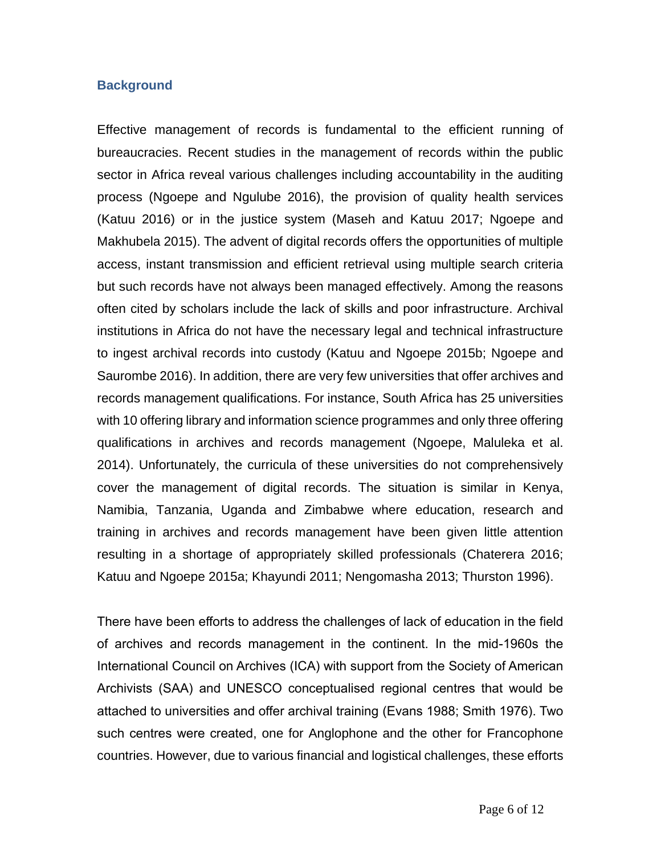#### **Background**

Effective management of records is fundamental to the efficient running of bureaucracies. Recent studies in the management of records within the public sector in Africa reveal various challenges including accountability in the auditing process [\(Ngoepe and Ngulube 2016\)](#page-11-0), the provision of quality health services [\(Katuu 2016\)](#page-10-0) or in the justice system [\(Maseh and Katuu 2017;](#page-11-1) [Ngoepe and](#page-11-2)  [Makhubela 2015\)](#page-11-2). The advent of digital records offers the opportunities of multiple access, instant transmission and efficient retrieval using multiple search criteria but such records have not always been managed effectively. Among the reasons often cited by scholars include the lack of skills and poor infrastructure. Archival institutions in Africa do not have the necessary legal and technical infrastructure to ingest archival records into custody [\(Katuu and Ngoepe 2015b;](#page-10-1) [Ngoepe and](#page-11-3)  [Saurombe 2016\)](#page-11-3). In addition, there are very few universities that offer archives and records management qualifications. For instance, South Africa has 25 universities with 10 offering library and information science programmes and only three offering qualifications in archives and records management [\(Ngoepe, Maluleka et al.](#page-11-4)  [2014\)](#page-11-4). Unfortunately, the curricula of these universities do not comprehensively cover the management of digital records. The situation is similar in Kenya, Namibia, Tanzania, Uganda and Zimbabwe where education, research and training in archives and records management have been given little attention resulting in a shortage of appropriately skilled professionals [\(Chaterera 2016;](#page-10-2) [Katuu and Ngoepe 2015a;](#page-10-3) [Khayundi 2011;](#page-11-5) [Nengomasha 2013;](#page-11-6) Thurston 1996).

There have been efforts to address the challenges of lack of education in the field of archives and records management in the continent. In the mid-1960s the International Council on Archives (ICA) with support from the Society of American Archivists (SAA) and UNESCO conceptualised regional centres that would be attached to universities and offer archival training [\(Evans 1988;](#page-10-4) [Smith 1976\)](#page-11-7). Two such centres were created, one for Anglophone and the other for Francophone countries. However, due to various financial and logistical challenges, these efforts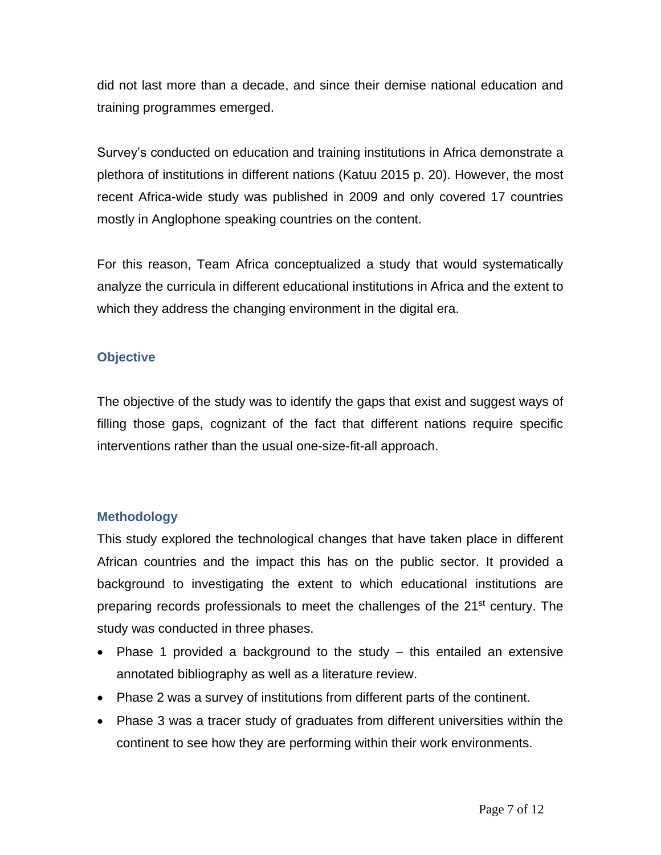did not last more than a decade, and since their demise national education and training programmes emerged.

Survey's conducted on education and training institutions in Africa demonstrate a plethora of institutions in different nations [\(Katuu 2015 p. 20\)](#page-10-5). However, the most recent Africa-wide study was published in 2009 and only covered 17 countries mostly in Anglophone speaking countries on the content.

For this reason, Team Africa conceptualized a study that would systematically analyze the curricula in different educational institutions in Africa and the extent to which they address the changing environment in the digital era.

# **Objective**

The objective of the study was to identify the gaps that exist and suggest ways of filling those gaps, cognizant of the fact that different nations require specific interventions rather than the usual one-size-fit-all approach.

# **Methodology**

This study explored the technological changes that have taken place in different African countries and the impact this has on the public sector. It provided a background to investigating the extent to which educational institutions are preparing records professionals to meet the challenges of the 21<sup>st</sup> century. The study was conducted in three phases.

- Phase 1 provided a background to the study this entailed an extensive annotated bibliography as well as a literature review.
- Phase 2 was a survey of institutions from different parts of the continent.
- Phase 3 was a tracer study of graduates from different universities within the continent to see how they are performing within their work environments.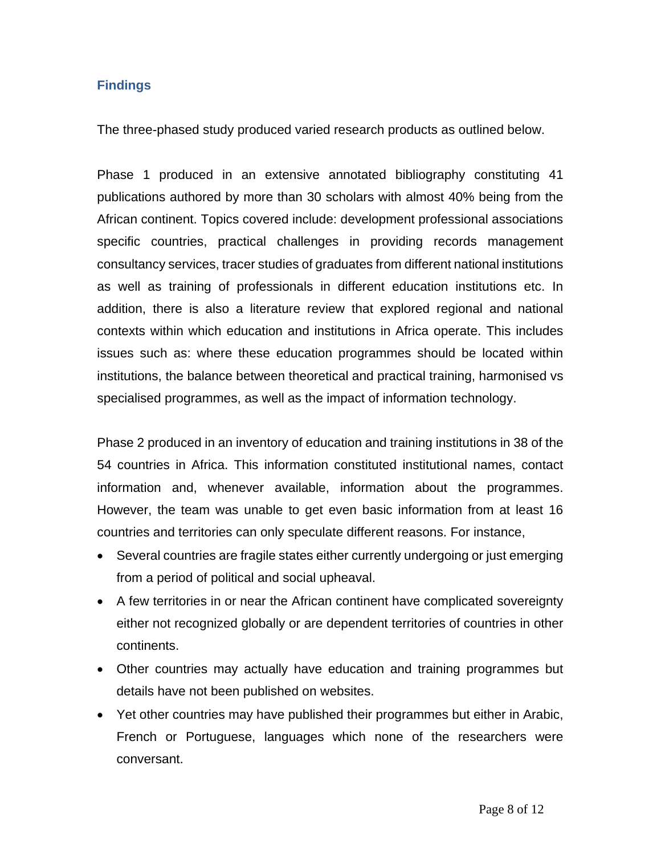## **Findings**

The three-phased study produced varied research products as outlined below.

Phase 1 produced in an extensive annotated bibliography constituting 41 publications authored by more than 30 scholars with almost 40% being from the African continent. Topics covered include: development professional associations specific countries, practical challenges in providing records management consultancy services, tracer studies of graduates from different national institutions as well as training of professionals in different education institutions etc. In addition, there is also a literature review that explored regional and national contexts within which education and institutions in Africa operate. This includes issues such as: where these education programmes should be located within institutions, the balance between theoretical and practical training, harmonised vs specialised programmes, as well as the impact of information technology.

Phase 2 produced in an inventory of education and training institutions in 38 of the 54 countries in Africa. This information constituted institutional names, contact information and, whenever available, information about the programmes. However, the team was unable to get even basic information from at least 16 countries and territories can only speculate different reasons. For instance,

- Several countries are fragile states either currently undergoing or just emerging from a period of political and social upheaval.
- A few territories in or near the African continent have complicated sovereignty either not recognized globally or are dependent territories of countries in other continents.
- Other countries may actually have education and training programmes but details have not been published on websites.
- Yet other countries may have published their programmes but either in Arabic, French or Portuguese, languages which none of the researchers were conversant.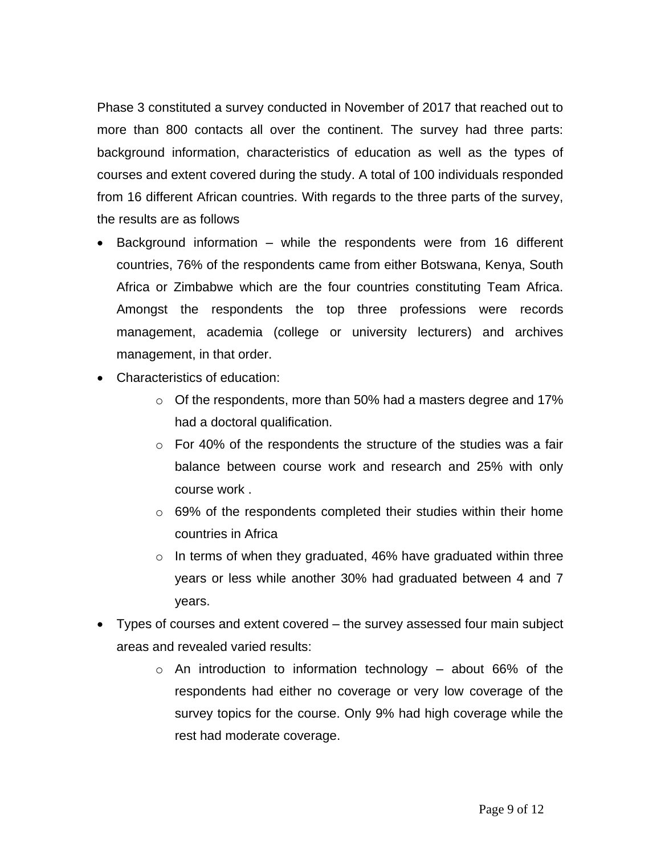Phase 3 constituted a survey conducted in November of 2017 that reached out to more than 800 contacts all over the continent. The survey had three parts: background information, characteristics of education as well as the types of courses and extent covered during the study. A total of 100 individuals responded from 16 different African countries. With regards to the three parts of the survey, the results are as follows

- Background information while the respondents were from 16 different countries, 76% of the respondents came from either Botswana, Kenya, South Africa or Zimbabwe which are the four countries constituting Team Africa. Amongst the respondents the top three professions were records management, academia (college or university lecturers) and archives management, in that order.
- Characteristics of education:
	- o Of the respondents, more than 50% had a masters degree and 17% had a doctoral qualification.
	- $\circ$  For 40% of the respondents the structure of the studies was a fair balance between course work and research and 25% with only course work .
	- $\circ$  69% of the respondents completed their studies within their home countries in Africa
	- $\circ$  In terms of when they graduated, 46% have graduated within three years or less while another 30% had graduated between 4 and 7 years.
- Types of courses and extent covered the survey assessed four main subject areas and revealed varied results:
	- $\circ$  An introduction to information technology about 66% of the respondents had either no coverage or very low coverage of the survey topics for the course. Only 9% had high coverage while the rest had moderate coverage.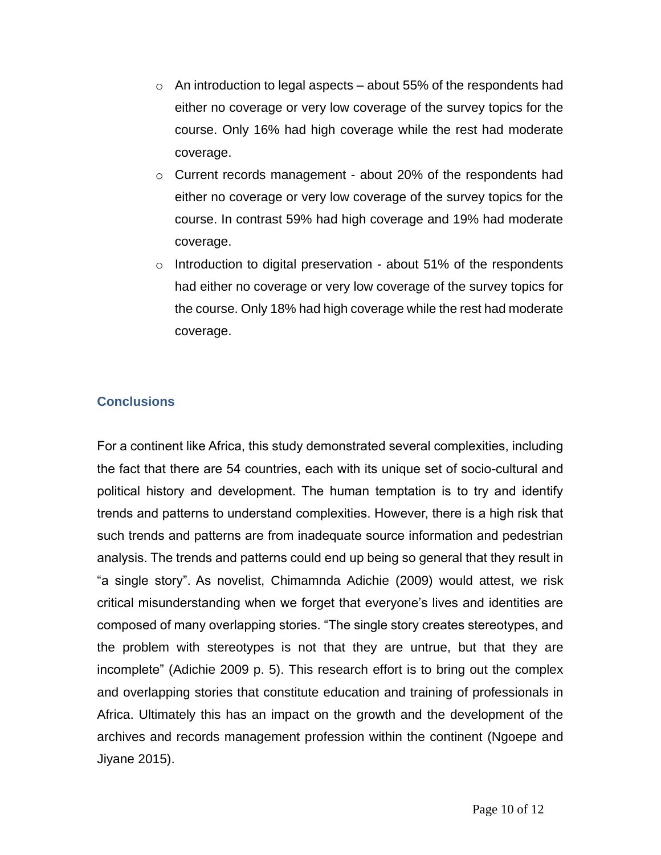- $\circ$  An introduction to legal aspects about 55% of the respondents had either no coverage or very low coverage of the survey topics for the course. Only 16% had high coverage while the rest had moderate coverage.
- o Current records management about 20% of the respondents had either no coverage or very low coverage of the survey topics for the course. In contrast 59% had high coverage and 19% had moderate coverage.
- $\circ$  Introduction to digital preservation about 51% of the respondents had either no coverage or very low coverage of the survey topics for the course. Only 18% had high coverage while the rest had moderate coverage.

# **Conclusions**

For a continent like Africa, this study demonstrated several complexities, including the fact that there are 54 countries, each with its unique set of socio-cultural and political history and development. The human temptation is to try and identify trends and patterns to understand complexities. However, there is a high risk that such trends and patterns are from inadequate source information and pedestrian analysis. The trends and patterns could end up being so general that they result in "a single story". As novelist, Chimamnda Adichie [\(2009\)](#page-10-6) would attest, we risk critical misunderstanding when we forget that everyone's lives and identities are composed of many overlapping stories. "The single story creates stereotypes, and the problem with stereotypes is not that they are untrue, but that they are incomplete" [\(Adichie 2009 p. 5\)](#page-10-6). This research effort is to bring out the complex and overlapping stories that constitute education and training of professionals in Africa. Ultimately this has an impact on the growth and the development of the archives and records management profession within the continent [\(Ngoepe and](#page-11-8)  [Jiyane 2015\)](#page-11-8).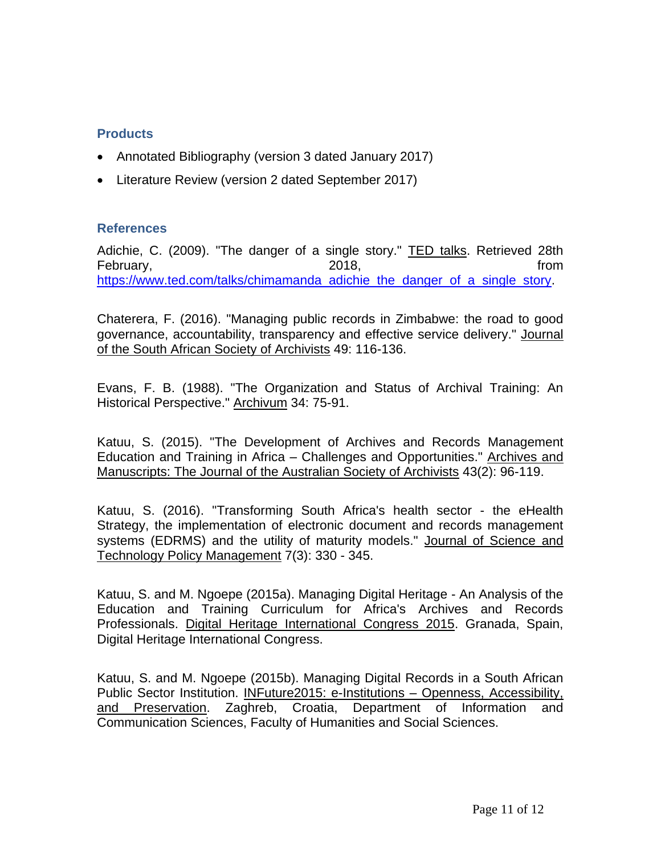## **Products**

- Annotated Bibliography (version 3 dated January 2017)
- Literature Review (version 2 dated September 2017)

## **References**

<span id="page-10-6"></span>Adichie, C. (2009). "The danger of a single story." TED talks. Retrieved 28th February, the contract of the 2018, the contract of the from the from the from the from the from the from the  $2018$ , the from the state of the state of the state of the state of the state of the state of the state of the [https://www.ted.com/talks/chimamanda\\_adichie\\_the\\_danger\\_of\\_a\\_single\\_story.](https://www.ted.com/talks/chimamanda_adichie_the_danger_of_a_single_story)

<span id="page-10-2"></span>Chaterera, F. (2016). "Managing public records in Zimbabwe: the road to good governance, accountability, transparency and effective service delivery." Journal of the South African Society of Archivists 49: 116-136.

<span id="page-10-4"></span>Evans, F. B. (1988). "The Organization and Status of Archival Training: An Historical Perspective." Archivum 34: 75-91.

<span id="page-10-5"></span>Katuu, S. (2015). "The Development of Archives and Records Management Education and Training in Africa – Challenges and Opportunities." Archives and Manuscripts: The Journal of the Australian Society of Archivists 43(2): 96-119.

<span id="page-10-0"></span>Katuu, S. (2016). "Transforming South Africa's health sector - the eHealth Strategy, the implementation of electronic document and records management systems (EDRMS) and the utility of maturity models." Journal of Science and Technology Policy Management 7(3): 330 - 345.

<span id="page-10-3"></span>Katuu, S. and M. Ngoepe (2015a). Managing Digital Heritage - An Analysis of the Education and Training Curriculum for Africa's Archives and Records Professionals. Digital Heritage International Congress 2015. Granada, Spain, Digital Heritage International Congress.

<span id="page-10-1"></span>Katuu, S. and M. Ngoepe (2015b). Managing Digital Records in a South African Public Sector Institution. INFuture2015: e-Institutions – Openness, Accessibility, and Preservation. Zaghreb, Croatia, Department of Information and Communication Sciences, Faculty of Humanities and Social Sciences.